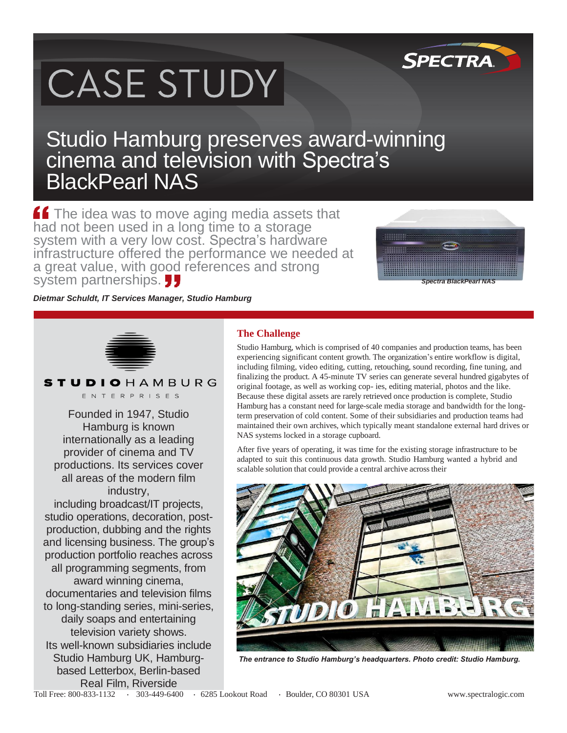# CASE STUDY

### Studio Hamburg preserves award-winning cinema and television with Spectra's BlackPearl NAS

**f** The idea was to move aging media assets that had not been used in a long time to a storage system with a very low cost. Spectra's hardware infrastructure offered the performance we needed at a great value, with good references and strong system partnerships.



**SPECTRA** 

*Dietmar Schuldt, IT Services Manager, Studio Hamburg*

Founded in 1947, Studio Hamburg is known internationally as a leading provider of cinema and TV productions. Its services cover all areas of the modern film industry, including broadcast/IT projects, studio operations, decoration, postproduction, dubbing and the rights and licensing business. The group's production portfolio reaches across all programming segments, from award winning cinema, documentaries and television films to long-standing series, mini-series, daily soaps and entertaining television variety shows. Its well-known subsidiaries include Studio Hamburg UK, Hamburgbased Letterbox, Berlin-based Real Film, Riverside

**STUDIOHAMBURG** ENTERPRISES

#### **The Challenge**

Studio Hamburg, which is comprised of 40 companies and production teams, has been experiencing significant content growth. The organization's entire workflow is digital, including filming, video editing, cutting, retouching, sound recording, fine tuning, and finalizing the product. A 45-minute TV series can generate several hundred gigabytes of original footage, as well as working cop- ies, editing material, photos and the like. Because these digital assets are rarely retrieved once production is complete, Studio Hamburg has a constant need for large-scale media storage and bandwidth for the longterm preservation of cold content. Some of their subsidiaries and production teams had maintained their own archives, which typically meant standalone external hard drives or NAS systems locked in a storage cupboard.

After five years of operating, it was time for the existing storage infrastructure to be adapted to suit this continuous data growth. Studio Hamburg wanted a hybrid and scalable solution that could provide a central archive across their



*The entrance to Studio Hamburg's headquarters. Photo credit: Studio Hamburg.*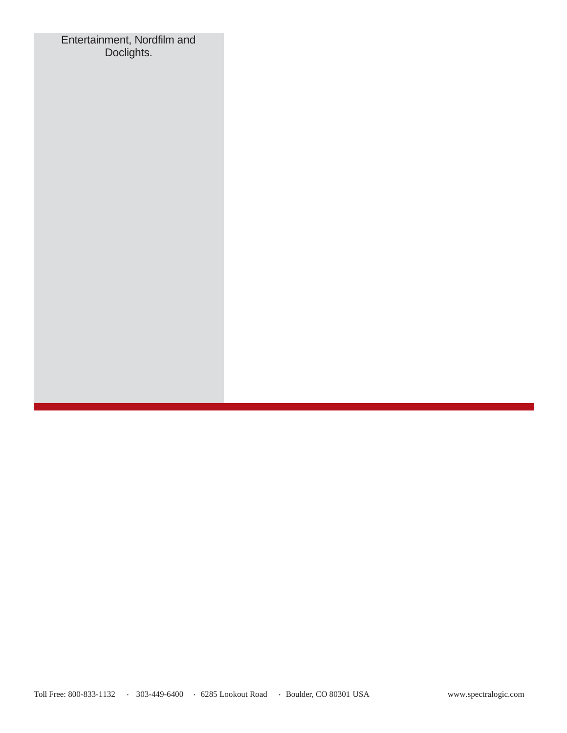Entertainment, Nordfilm and Doclights.